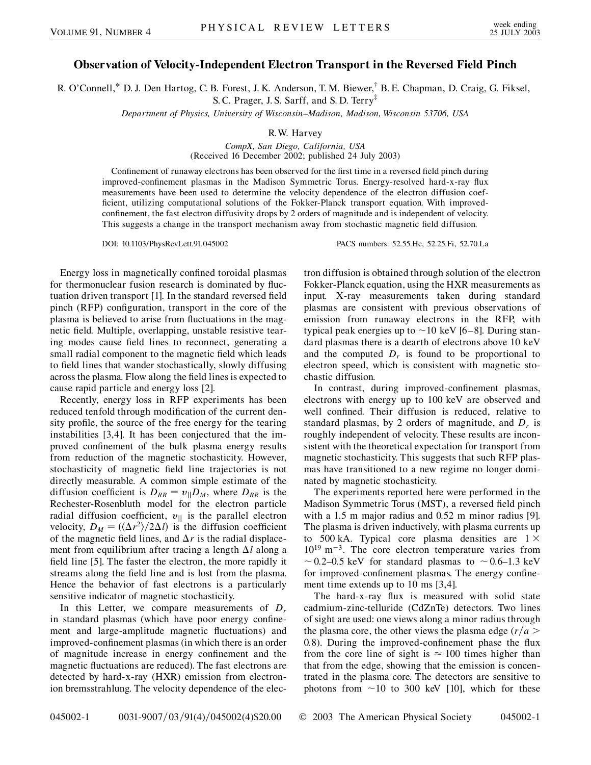## **Observation of Velocity-Independent Electron Transport in the Reversed Field Pinch**

R. O'Connell,\* D. J. Den Hartog, C. B. Forest, J. K. Anderson, T. M. Biewer,<sup>†</sup> B. E. Chapman, D. Craig, G. Fiksel, S. C. Prager, J. S. Sarff, and S. D. Terry‡

*Department of Physics, University of Wisconsin–Madison, Madison, Wisconsin 53706, USA*

R.W. Harvey

*CompX, San Diego, California, USA* (Received 16 December 2002; published 24 July 2003)

Confinement of runaway electrons has been observed for the first time in a reversed field pinch during improved-confinement plasmas in the Madison Symmetric Torus. Energy-resolved hard-x-ray flux measurements have been used to determine the velocity dependence of the electron diffusion coefficient, utilizing computational solutions of the Fokker-Planck transport equation. With improvedconfinement, the fast electron diffusivity drops by 2 orders of magnitude and is independent of velocity. This suggests a change in the transport mechanism away from stochastic magnetic field diffusion.

DOI: 10.1103/PhysRevLett.91.045002 PACS numbers: 52.55.Hc, 52.25.Fi, 52.70.La

Energy loss in magnetically confined toroidal plasmas for thermonuclear fusion research is dominated by fluctuation driven transport [1]. In the standard reversed field pinch (RFP) configuration, transport in the core of the plasma is believed to arise from fluctuations in the magnetic field. Multiple, overlapping, unstable resistive tearing modes cause field lines to reconnect, generating a small radial component to the magnetic field which leads to field lines that wander stochastically, slowly diffusing across the plasma. Flow along the field lines is expected to cause rapid particle and energy loss [2].

Recently, energy loss in RFP experiments has been reduced tenfold through modification of the current density profile, the source of the free energy for the tearing instabilities [3,4]. It has been conjectured that the improved confinement of the bulk plasma energy results from reduction of the magnetic stochasticity. However, stochasticity of magnetic field line trajectories is not directly measurable. A common simple estimate of the diffusion coefficient is  $D_{RR} = v_{\parallel}D_M$ , where  $D_{RR}$  is the Rechester-Rosenbluth model for the electron particle radial diffusion coefficient,  $v_{\parallel}$  is the parallel electron velocity,  $D_M = (\langle \Delta r^2 \rangle / 2 \Delta l)$  is the diffusion coefficient of the magnetic field lines, and  $\Delta r$  is the radial displacement from equilibrium after tracing a length  $\Delta l$  along a field line [5]. The faster the electron, the more rapidly it streams along the field line and is lost from the plasma. Hence the behavior of fast electrons is a particularly sensitive indicator of magnetic stochasticity.

In this Letter, we compare measurements of *Dr* in standard plasmas (which have poor energy confinement and large-amplitude magnetic fluctuations) and improved-confinement plasmas (in which there is an order of magnitude increase in energy confinement and the magnetic fluctuations are reduced). The fast electrons are detected by hard-x-ray (HXR) emission from electronion bremsstrahlung. The velocity dependence of the electron diffusion is obtained through solution of the electron Fokker-Planck equation, using the HXR measurements as input. X-ray measurements taken during standard plasmas are consistent with previous observations of emission from runaway electrons in the RFP, with typical peak energies up to  $\sim$  10 keV [6–8]. During standard plasmas there is a dearth of electrons above 10 keV and the computed  $D_r$  is found to be proportional to electron speed, which is consistent with magnetic stochastic diffusion.

In contrast, during improved-confinement plasmas, electrons with energy up to 100 keV are observed and well confined. Their diffusion is reduced, relative to standard plasmas, by 2 orders of magnitude, and  $D<sub>r</sub>$  is roughly independent of velocity. These results are inconsistent with the theoretical expectation for transport from magnetic stochasticity. This suggests that such RFP plasmas have transitioned to a new regime no longer dominated by magnetic stochasticity.

The experiments reported here were performed in the Madison Symmetric Torus (MST), a reversed field pinch with a 1*:*5 m major radius and 0.52 m minor radius [9]. The plasma is driven inductively, with plasma currents up to 500 kA. Typical core plasma densities are  $1 \times$  $10^{19}$  m<sup>-3</sup>. The core electron temperature varies from  $\sim$  0.2–0.5 keV for standard plasmas to  $\sim$  0.6–1.3 keV for improved-confinement plasmas. The energy confinement time extends up to 10 ms [3,4].

The hard-x-ray flux is measured with solid state cadmium-zinc-telluride (CdZnTe) detectors. Two lines of sight are used: one views along a minor radius through the plasma core, the other views the plasma edge  $(r/a$ 0*:*8). During the improved-confinement phase the flux from the core line of sight is  $\approx 100$  times higher than that from the edge, showing that the emission is concentrated in the plasma core. The detectors are sensitive to photons from  $\sim$ 10 to 300 keV [10], which for these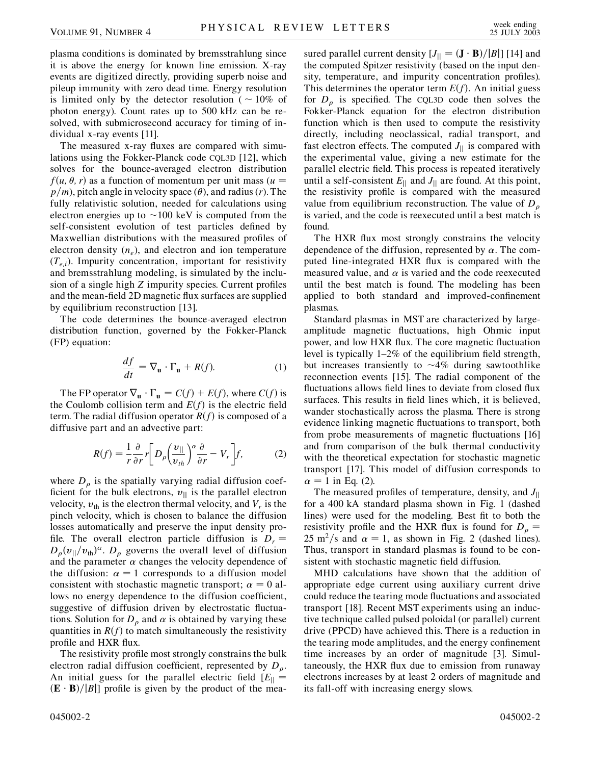plasma conditions is dominated by bremsstrahlung since it is above the energy for known line emission. X-ray events are digitized directly, providing superb noise and pileup immunity with zero dead time. Energy resolution is limited only by the detector resolution ( $\sim 10\%$  of photon energy). Count rates up to 500 kHz can be resolved, with submicrosecond accuracy for timing of individual x-ray events [11].

The measured x-ray fluxes are compared with simulations using the Fokker-Planck code CQL3D [12], which solves for the bounce-averaged electron distribution  $f(u, \theta, r)$  as a function of momentum per unit mass ( $u =$  $p/m$ , pitch angle in velocity space ( $\theta$ ), and radius (*r*). The fully relativistic solution, needed for calculations using electron energies up to  $\sim$ 100 keV is computed from the self-consistent evolution of test particles defined by Maxwellian distributions with the measured profiles of electron density  $(n_e)$ , and electron and ion temperature  $(T_{e,i})$ . Impurity concentration, important for resistivity and bremsstrahlung modeling, is simulated by the inclusion of a single high *Z* impurity species. Current profiles and the mean-field 2D magnetic flux surfaces are supplied by equilibrium reconstruction [13].

The code determines the bounce-averaged electron distribution function, governed by the Fokker-Planck (FP) equation:

$$
\frac{df}{dt} = \nabla_{\mathbf{u}} \cdot \Gamma_{\mathbf{u}} + R(f). \tag{1}
$$

The FP operator  $\nabla_{\mathbf{u}} \cdot \Gamma_{\mathbf{u}} = C(f) + E(f)$ , where  $C(f)$  is the Coulomb collision term and  $E(f)$  is the electric field term. The radial diffusion operator  $R(f)$  is composed of a diffusive part and an advective part:

$$
R(f) = \frac{1}{r} \frac{\partial}{\partial r} r \left[ D_{\rho} \left( \frac{v_{\parallel}}{v_{th}} \right)^{\alpha} \frac{\partial}{\partial r} - V_r \right] f, \tag{2}
$$

where  $D_{\rho}$  is the spatially varying radial diffusion coefficient for the bulk electrons,  $v_{\parallel}$  is the parallel electron velocity,  $v_{\text{th}}$  is the electron thermal velocity, and  $V_r$  is the pinch velocity, which is chosen to balance the diffusion losses automatically and preserve the input density profile. The overall electron particle diffusion is  $D_r =$  $D_{\rho}(v_{\parallel}/v_{\text{th}})^{\alpha}$ .  $D_{\rho}$  governs the overall level of diffusion and the parameter  $\alpha$  changes the velocity dependence of the diffusion:  $\alpha = 1$  corresponds to a diffusion model consistent with stochastic magnetic transport;  $\alpha = 0$  allows no energy dependence to the diffusion coefficient, suggestive of diffusion driven by electrostatic fluctuations. Solution for  $D<sub>o</sub>$  and  $\alpha$  is obtained by varying these quantities in  $R(f)$  to match simultaneously the resistivity profile and HXR flux.

The resistivity profile most strongly constrains the bulk electron radial diffusion coefficient, represented by  $D<sub>o</sub>$ . An initial guess for the parallel electric field  $[E_{\parallel} =$  $(\mathbf{E} \cdot \mathbf{B})/|B|$  profile is given by the product of the measured parallel current density  $[J_{\parallel} = (\mathbf{J} \cdot \mathbf{B})/|B|]$  [14] and the computed Spitzer resistivity (based on the input density, temperature, and impurity concentration profiles). This determines the operator term  $E(f)$ . An initial guess for  $D_{\rho}$  is specified. The CQL3D code then solves the Fokker-Planck equation for the electron distribution function which is then used to compute the resistivity directly, including neoclassical, radial transport, and fast electron effects. The computed  $J_{\parallel}$  is compared with the experimental value, giving a new estimate for the parallel electric field. This process is repeated iteratively until a self-consistent  $E_{\parallel}$  and  $J_{\parallel}$  are found. At this point, the resistivity profile is compared with the measured value from equilibrium reconstruction. The value of *D* is varied, and the code is reexecuted until a best match is found.

The HXR flux most strongly constrains the velocity dependence of the diffusion, represented by  $\alpha$ . The computed line-integrated HXR flux is compared with the measured value, and  $\alpha$  is varied and the code reexecuted until the best match is found. The modeling has been applied to both standard and improved-confinement plasmas.

Standard plasmas in MST are characterized by largeamplitude magnetic fluctuations, high Ohmic input power, and low HXR flux. The core magnetic fluctuation level is typically 1–2% of the equilibrium field strength, but increases transiently to  $\sim$ 4% during sawtoothlike reconnection events [15]. The radial component of the fluctuations allows field lines to deviate from closed flux surfaces. This results in field lines which, it is believed, wander stochastically across the plasma. There is strong evidence linking magnetic fluctuations to transport, both from probe measurements of magnetic fluctuations [16] and from comparison of the bulk thermal conductivity with the theoretical expectation for stochastic magnetic transport [17]. This model of diffusion corresponds to  $\alpha = 1$  in Eq. (2).

The measured profiles of temperature, density, and *J*jj for a 400 kA standard plasma shown in Fig. 1 (dashed lines) were used for the modeling. Best fit to both the resistivity profile and the HXR flux is found for  $D_{\rho}$  =  $25 \text{ m}^2/\text{s}$  and  $\alpha = 1$ , as shown in Fig. 2 (dashed lines). Thus, transport in standard plasmas is found to be consistent with stochastic magnetic field diffusion.

MHD calculations have shown that the addition of appropriate edge current using auxiliary current drive could reduce the tearing mode fluctuations and associated transport [18]. Recent MST experiments using an inductive technique called pulsed poloidal (or parallel) current drive (PPCD) have achieved this. There is a reduction in the tearing mode amplitudes, and the energy confinement time increases by an order of magnitude [3]. Simultaneously, the HXR flux due to emission from runaway electrons increases by at least 2 orders of magnitude and its fall-off with increasing energy slows.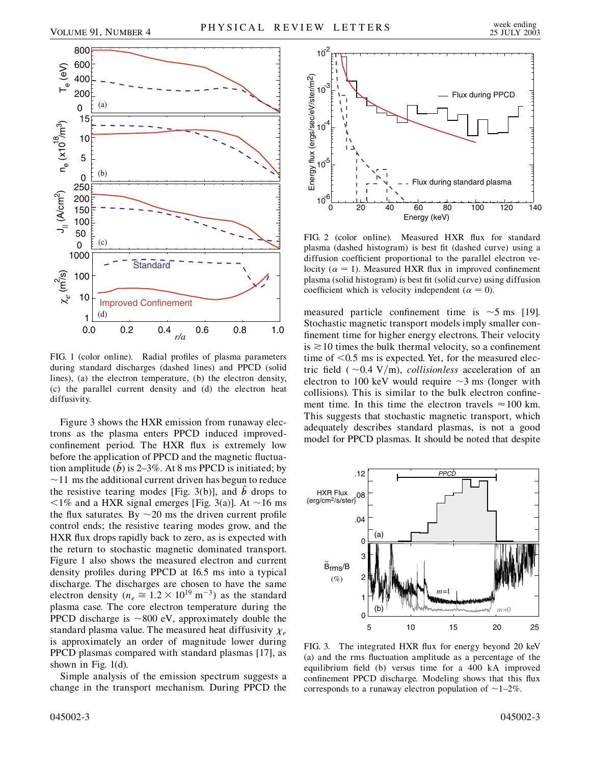

FIG. 1 (color online). Radial profiles of plasma parameters during standard discharges (dashed lines) and PPCD (solid lines), (a) the electron temperature, (b) the electron density, (c) the parallel current density and (d) the electron heat diffusivity.

Figure 3 shows the HXR emission from runaway electrons as the plasma enters PPCD induced improvedconfinement period. The HXR flux is extremely low before the application of PPCD and the magnetic fluctuation amplitude ( $\overline{b}$ ) is 2–3%. At 8 ms PPCD is initiated; by  $\sim$ 11 ms the additional current driven has begun to reduce the resistive tearing modes [Fig. 3(b)], and  $\bar{b}$  drops to  $\langle$ 1% and a HXR signal emerges [Fig. 3(a)]. At  $\sim$ 16 ms the flux saturates. By  $\sim$  20 ms the driven current profile control ends; the resistive tearing modes grow, and the HXR flux drops rapidly back to zero, as is expected with the return to stochastic magnetic dominated transport. Figure 1 also shows the measured electron and current density profiles during PPCD at 16.5 ms into a typical discharge. The discharges are chosen to have the same electron density ( $n_e \approx 1.2 \times 10^{19} \text{ m}^{-3}$ ) as the standard plasma case. The core electron temperature during the PPCD discharge is  $\sim$ 800 eV, approximately double the standard plasma value. The measured heat diffusivity  $\chi_e$ is approximately an order of magnitude lower during PPCD plasmas compared with standard plasmas [17], as shown in Fig. 1(d).

Simple analysis of the emission spectrum suggests a change in the transport mechanism. During PPCD the



FIG. 2 (color online). Measured HXR flux for standard plasma (dashed histogram) is best fit (dashed curve) using a diffusion coefficient proportional to the parallel electron velocity ( $\alpha = 1$ ). Measured HXR flux in improved confinement plasma (solid histogram) is best fit (solid curve) using diffusion coefficient which is velocity independent ( $\alpha = 0$ ).

measured particle confinement time is  $\sim$  5 ms [19]. Stochastic magnetic transport models imply smaller confinement time for higher energy electrons. Their velocity is  $\geq 10$  times the bulk thermal velocity, so a confinement time of *<*0*:*5 ms is expected. Yet, for the measured electric field ( $\sim 0.4$  V/m), *collisionless* acceleration of an electron to 100 keV would require  $\sim$ 3 ms (longer with collisions). This is similar to the bulk electron confinement time. In this time the electron travels  $\approx 100$  km. This suggests that stochastic magnetic transport, which adequately describes standard plasmas, is not a good model for PPCD plasmas. It should be noted that despite



FIG. 3. The integrated HXR flux for energy beyond 20 keV (a) and the rms fluctuation amplitude as a percentage of the equilibrium field (b) versus time for a 400 kA improved confinement PPCD discharge. Modeling shows that this flux corresponds to a runaway electron population of  $\sim$  1–2%.